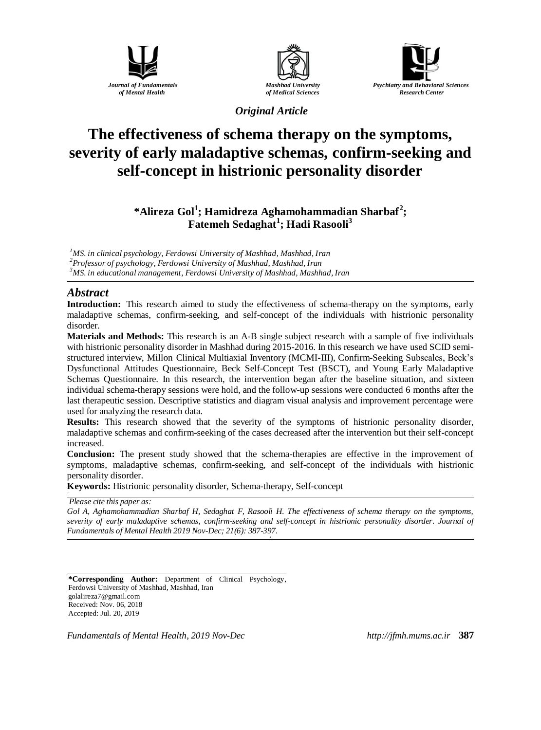





*Original Article*

# **The effectiveness of schema therapy on the symptoms, severity of early maladaptive schemas, confirm-seeking and self-concept in histrionic personality disorder**

**\*Alireza Gol<sup>1</sup> ; Hamidreza Aghamohammadian Sharbaf<sup>2</sup> ; Fatemeh Sedaghat<sup>1</sup> ; Hadi Rasooli<sup>3</sup>**

*<sup>1</sup>MS. in clinical psychology, Ferdowsi University of Mashhad, Mashhad, Iran*

*<sup>2</sup>Professor of psychology, Ferdowsi University of Mashhad, Mashhad, Iran*

*<sup>3</sup>MS. in educational management, Ferdowsi University of Mashhad, Mashhad, Iran*

# *Abstract*

**Introduction:** This research aimed to study the effectiveness of schema-therapy on the symptoms, early maladaptive schemas, confirm-seeking, and self-concept of the individuals with histrionic personality disorder.

**Materials and Methods:** This research is an A-B single subject research with a sample of five individuals with histrionic personality disorder in Mashhad during 2015-2016. In this research we have used SCID semistructured interview, Millon Clinical Multiaxial Inventory (MCMI-III), Confirm-Seeking Subscales, Beck's Dysfunctional Attitudes Questionnaire, Beck Self-Concept Test (BSCT), and Young Early Maladaptive Schemas Questionnaire. In this research, the intervention began after the baseline situation, and sixteen individual schema-therapy sessions were hold, and the follow-up sessions were conducted 6 months after the last therapeutic session. Descriptive statistics and diagram visual analysis and improvement percentage were used for analyzing the research data.

**Results:** This research showed that the severity of the symptoms of histrionic personality disorder, maladaptive schemas and confirm-seeking of the cases decreased after the intervention but their self-concept increased.

**Conclusion:** The present study showed that the schema-therapies are effective in the improvement of symptoms, maladaptive schemas, confirm-seeking, and self-concept of the individuals with histrionic personality disorder.

**Keywords:** Histrionic personality disorder, Schema-therapy, Self-concept

*Please cite this paper as:* 

*Gol A, Aghamohammadian Sharbaf H, Sedaghat F, Rasooli H. The effectiveness of schema therapy on the symptoms, severity of early maladaptive schemas, confirm-seeking and self-concept in histrionic personality disorder. Journal of Fundamentals of Mental Health 2019 Nov-Dec; 21(6): 387-397.*

**\*Corresponding Author:** Department of Clinical Psychology, Ferdowsi University of Mashhad, Mashhad, Iran [golalireza7@gmail.com](mailto:golalireza7@gmail.com) Received: Nov. 06, 2018 Accepted: Jul. 20, 2019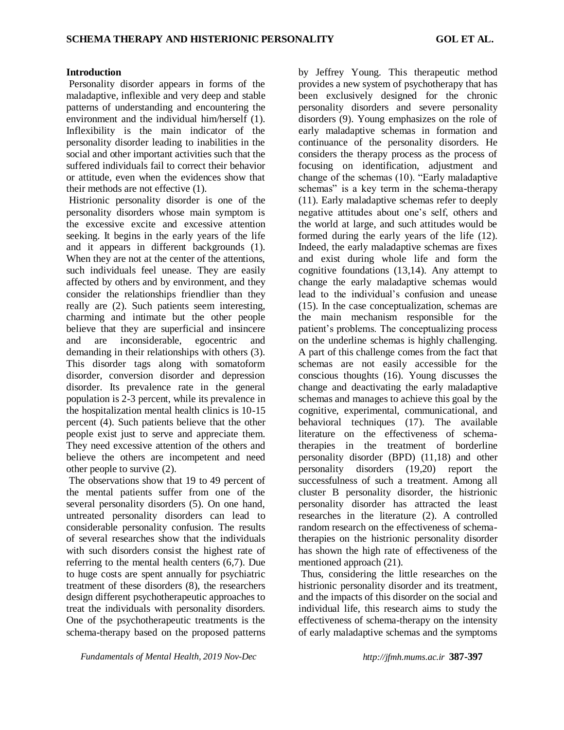#### **Introduction**

Personality disorder appears in forms of the maladaptive, inflexible and very deep and stable patterns of understanding and encountering the environment and the individual him/herself (1). Inflexibility is the main indicator of the personality disorder leading to inabilities in the social and other important activities such that the suffered individuals fail to correct their behavior or attitude, even when the evidences show that their methods are not effective (1).

Histrionic personality disorder is one of the personality disorders whose main symptom is the excessive excite and excessive attention seeking. It begins in the early years of the life and it appears in different backgrounds (1). When they are not at the center of the attentions, such individuals feel unease. They are easily affected by others and by environment, and they consider the relationships friendlier than they really are (2). Such patients seem interesting, charming and intimate but the other people believe that they are superficial and insincere and are inconsiderable, egocentric and demanding in their relationships with others (3). This disorder tags along with somatoform disorder, conversion disorder and depression disorder. Its prevalence rate in the general population is 2-3 percent, while its prevalence in the hospitalization mental health clinics is 10-15 percent (4). Such patients believe that the other people exist just to serve and appreciate them. They need excessive attention of the others and believe the others are incompetent and need other people to survive (2).

The observations show that 19 to 49 percent of the mental patients suffer from one of the several personality disorders (5). On one hand, untreated personality disorders can lead to considerable personality confusion. The results of several researches show that the individuals with such disorders consist the highest rate of referring to the mental health centers (6,7). Due to huge costs are spent annually for psychiatric treatment of these disorders (8), the researchers design different psychotherapeutic approaches to treat the individuals with personality disorders. One of the psychotherapeutic treatments is the schema-therapy based on the proposed patterns

by Jeffrey Young. This therapeutic method provides a new system of psychotherapy that has been exclusively designed for the chronic personality disorders and severe personality disorders (9). Young emphasizes on the role of early maladaptive schemas in formation and continuance of the personality disorders. He considers the therapy process as the process of focusing on identification, adjustment and change of the schemas (10). "Early maladaptive schemas" is a key term in the schema-therapy (11). Early maladaptive schemas refer to deeply negative attitudes about one's self, others and the world at large, and such attitudes would be formed during the early years of the life (12). Indeed, the early maladaptive schemas are fixes and exist during whole life and form the cognitive foundations (13,14). Any attempt to change the early maladaptive schemas would lead to the individual's confusion and unease (15). In the case conceptualization, schemas are the main mechanism responsible for the patient's problems. The conceptualizing process on the underline schemas is highly challenging. A part of this challenge comes from the fact that schemas are not easily accessible for the conscious thoughts (16). Young discusses the change and deactivating the early maladaptive schemas and manages to achieve this goal by the cognitive, experimental, communicational, and behavioral techniques (17). The available literature on the effectiveness of schematherapies in the treatment of borderline personality disorder (BPD) (11,18) and other personality disorders (19,20) report the successfulness of such a treatment. Among all cluster B personality disorder, the histrionic personality disorder has attracted the least researches in the literature (2). A controlled random research on the effectiveness of schematherapies on the histrionic personality disorder has shown the high rate of effectiveness of the mentioned approach (21).

Thus, considering the little researches on the histrionic personality disorder and its treatment, and the impacts of this disorder on the social and individual life, this research aims to study the effectiveness of schema-therapy on the intensity of early maladaptive schemas and the symptoms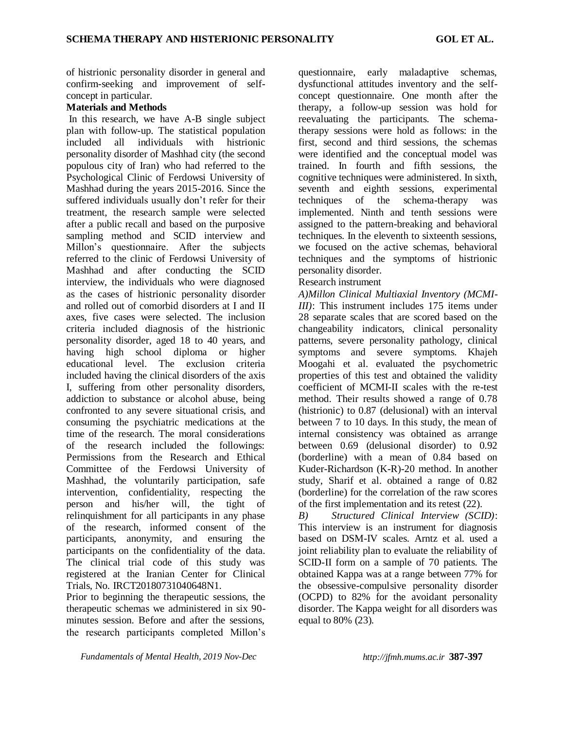of histrionic personality disorder in general and confirm-seeking and improvement of selfconcept in particular.

# **Materials and Methods**

In this research, we have A-B single subject plan with follow-up. The statistical population included all individuals with histrionic personality disorder of Mashhad city (the second populous city of Iran) who had referred to the Psychological Clinic of Ferdowsi University of Mashhad during the years 2015-2016. Since the suffered individuals usually don't refer for their treatment, the research sample were selected after a public recall and based on the purposive sampling method and SCID interview and Millon's questionnaire. After the subjects referred to the clinic of Ferdowsi University of Mashhad and after conducting the SCID interview, the individuals who were diagnosed as the cases of histrionic personality disorder and rolled out of comorbid disorders at I and II axes, five cases were selected. The inclusion criteria included diagnosis of the histrionic personality disorder, aged 18 to 40 years, and having high school diploma or higher educational level. The exclusion criteria included having the clinical disorders of the axis I, suffering from other personality disorders, addiction to substance or alcohol abuse, being confronted to any severe situational crisis, and consuming the psychiatric medications at the time of the research. The moral considerations of the research included the followings: Permissions from the Research and Ethical Committee of the Ferdowsi University of Mashhad, the voluntarily participation, safe intervention, confidentiality, respecting the person and his/her will, the tight of relinquishment for all participants in any phase of the research, informed consent of the participants, anonymity, and ensuring the participants on the confidentiality of the data. The clinical trial code of this study was registered at the Iranian Center for Clinical Trials, No. IRCT20180731040648N1.

Prior to beginning the therapeutic sessions, the therapeutic schemas we administered in six 90 minutes session. Before and after the sessions, the research participants completed Millon's questionnaire, early maladaptive schemas, dysfunctional attitudes inventory and the selfconcept questionnaire. One month after the therapy, a follow-up session was hold for reevaluating the participants. The schematherapy sessions were hold as follows: in the first, second and third sessions, the schemas were identified and the conceptual model was trained. In fourth and fifth sessions, the cognitive techniques were administered. In sixth, seventh and eighth sessions, experimental techniques of the schema-therapy was implemented. Ninth and tenth sessions were assigned to the pattern-breaking and behavioral techniques. In the eleventh to sixteenth sessions, we focused on the active schemas, behavioral techniques and the symptoms of histrionic personality disorder.

## Research instrument

*A)Millon Clinical Multiaxial Inventory (MCMI-III*): This instrument includes 175 items under 28 separate scales that are scored based on the changeability indicators, clinical personality patterns, severe personality pathology, clinical symptoms and severe symptoms. Khajeh Moogahi et al. evaluated the psychometric properties of this test and obtained the validity coefficient of MCMI-II scales with the re-test method. Their results showed a range of 0.78 (histrionic) to 0.87 (delusional) with an interval between 7 to 10 days. In this study, the mean of internal consistency was obtained as arrange between 0.69 (delusional disorder) to 0.92 (borderline) with a mean of 0.84 based on Kuder-Richardson (K-R)-20 method. In another study, Sharif et al. obtained a range of 0.82 (borderline) for the correlation of the raw scores of the first implementation and its retest (22).

*B) Structured Clinical Interview (SCID)*: This interview is an instrument for diagnosis based on DSM-IV scales. Arntz et al. used a joint reliability plan to evaluate the reliability of SCID-II form on a sample of 70 patients. The obtained Kappa was at a range between 77% for the obsessive-compulsive personality disorder (OCPD) to 82% for the avoidant personality disorder. The Kappa weight for all disorders was equal to 80% (23).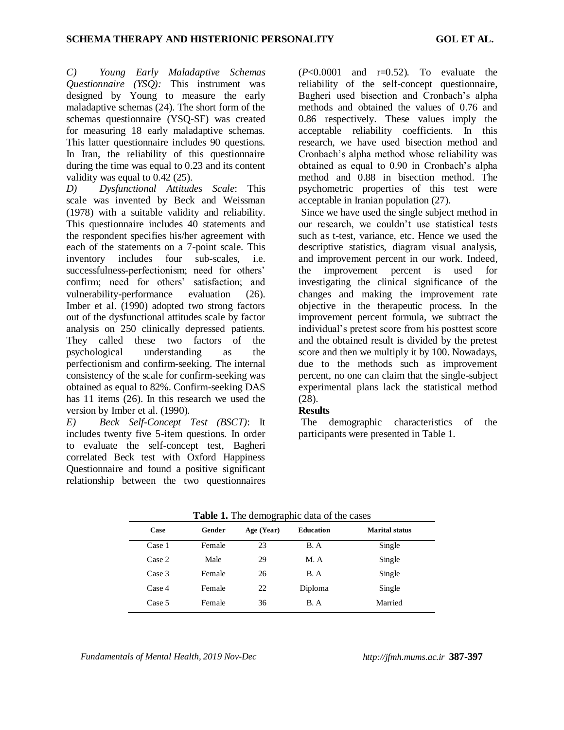*C) Young Early Maladaptive Schemas Questionnaire (YSQ):* This instrument was designed by Young to measure the early maladaptive schemas (24). The short form of the schemas questionnaire (YSQ-SF) was created for measuring 18 early maladaptive schemas. This latter questionnaire includes 90 questions. In Iran, the reliability of this questionnaire during the time was equal to 0.23 and its content validity was equal to 0.42 (25).

*D) Dysfunctional Attitudes Scale*: This scale was invented by Beck and Weissman (1978) with a suitable validity and reliability. This questionnaire includes 40 statements and the respondent specifies his/her agreement with each of the statements on a 7-point scale. This inventory includes four sub-scales, i.e. successfulness-perfectionism; need for others' confirm; need for others' satisfaction; and vulnerability-performance evaluation (26). Imber et al. (1990) adopted two strong factors out of the dysfunctional attitudes scale by factor analysis on 250 clinically depressed patients. They called these two factors of the psychological understanding as the perfectionism and confirm-seeking. The internal consistency of the scale for confirm-seeking was obtained as equal to 82%. Confirm-seeking DAS has 11 items (26). In this research we used the version by Imber et al. (1990).

*E) Beck Self-Concept Test (BSCT)*: It includes twenty five 5-item questions. In order to evaluate the self-concept test, Bagheri correlated Beck test with Oxford Happiness Questionnaire and found a positive significant relationship between the two questionnaires

 $(P<0.0001$  and  $r=0.52$ ). To evaluate the reliability of the self-concept questionnaire, Bagheri used bisection and Cronbach's alpha methods and obtained the values of 0.76 and 0.86 respectively. These values imply the acceptable reliability coefficients. In this research, we have used bisection method and Cronbach's alpha method whose reliability was obtained as equal to 0.90 in Cronbach's alpha method and 0.88 in bisection method. The psychometric properties of this test were acceptable in Iranian population (27).

Since we have used the single subject method in our research, we couldn't use statistical tests such as t-test, variance, etc. Hence we used the descriptive statistics, diagram visual analysis, and improvement percent in our work. Indeed, the improvement percent is used for investigating the clinical significance of the changes and making the improvement rate objective in the therapeutic process. In the improvement percent formula, we subtract the individual's pretest score from his posttest score and the obtained result is divided by the pretest score and then we multiply it by 100. Nowadays, due to the methods such as improvement percent, no one can claim that the single-subject experimental plans lack the statistical method (28).

## **Results**

The demographic characteristics of the participants were presented in Table 1.

| Case   | Gender | Age (Year) | <b>Education</b> | <b>Marital status</b> |
|--------|--------|------------|------------------|-----------------------|
| Case 1 | Female | 23         | B. A             | Single                |
| Case 2 | Male   | 29         | M. A             | Single                |
| Case 3 | Female | 26         | B.A              | Single                |
| Case 4 | Female | 22         | Diploma          | Single                |
| Case 5 | Female | 36         | B. A             | Married               |

| Table 1. The demographic data of the cases |
|--------------------------------------------|
|--------------------------------------------|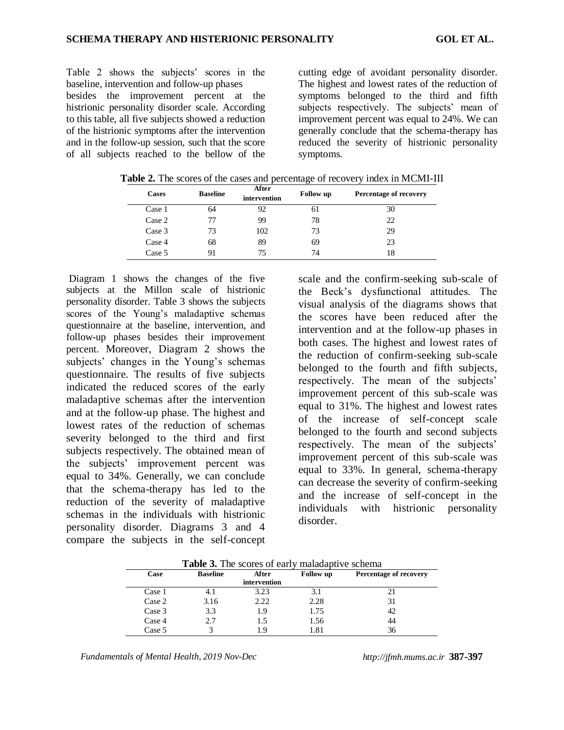Table 2 shows the subjects' scores in the baseline, intervention and follow-up phases besides the improvement percent at the histrionic personality disorder scale. According to this table, all five subjects showed a reduction of the histrionic symptoms after the intervention and in the follow-up session, such that the score of all subjects reached to the bellow of the

cutting edge of avoidant personality disorder. The highest and lowest rates of the reduction of symptoms belonged to the third and fifth subjects respectively. The subjects' mean of improvement percent was equal to 24%. We can generally conclude that the schema-therapy has reduced the severity of histrionic personality symptoms.

| <b>Cases</b> | <b>Baseline</b> | After<br>intervention | Follow up | Percentage of recovery |
|--------------|-----------------|-----------------------|-----------|------------------------|
| Case 1       | 64              | 92                    | 61        | 30                     |
| Case 2       | 77              | 99                    | 78        | 22                     |
| Case 3       | 73              | 102                   | 73        | 29                     |
| Case 4       | 68              | 89                    | 69        | 23                     |
| Case 5       | 91              | 75                    | 74        | 18                     |

**Table 2.** The scores of the cases and percentage of recovery index in MCMI-III

Diagram 1 shows the changes of the five subjects at the Millon scale of histrionic personality disorder. Table 3 shows the subjects scores of the Young's maladaptive schemas questionnaire at the baseline, intervention, and follow-up phases besides their improvement percent. Moreover, Diagram 2 shows the subjects' changes in the Young's schemas questionnaire. The results of five subjects indicated the reduced scores of the early maladaptive schemas after the intervention and at the follow-up phase. The highest and lowest rates of the reduction of schemas severity belonged to the third and first subjects respectively. The obtained mean of the subjects' improvement percent was equal to 34%. Generally, we can conclude that the schema-therapy has led to the reduction of the severity of maladaptive schemas in the individuals with histrionic personality disorder. Diagrams 3 and 4 compare the subjects in the self-concept

scale and the confirm-seeking sub-scale of the Beck's dysfunctional attitudes. The visual analysis of the diagrams shows that the scores have been reduced after the intervention and at the follow-up phases in both cases. The highest and lowest rates of the reduction of confirm-seeking sub-scale belonged to the fourth and fifth subjects, respectively. The mean of the subjects' improvement percent of this sub-scale was equal to 31%. The highest and lowest rates of the increase of self-concept scale belonged to the fourth and second subjects respectively. The mean of the subjects' improvement percent of this sub-scale was equal to 33%. In general, schema-therapy can decrease the severity of confirm-seeking and the increase of self-concept in the individuals with histrionic personality disorder.

| Case   | <b>Baseline</b> | After        | <b>Follow</b> up | Percentage of recovery |
|--------|-----------------|--------------|------------------|------------------------|
|        |                 | intervention |                  |                        |
| Case 1 | 4.1             | 3.23         | 3.1              | 21                     |
| Case 2 | 3.16            | 2.22         | 2.28             | 31                     |
| Case 3 | 3.3             | 1.9          | 1.75             | 42                     |
| Case 4 | 2.7             | 1.5          | 1.56             | 44                     |
| Case 5 |                 | 1.9          | 1.81             | 36                     |

**Table 3.** The scores of early maladaptive schema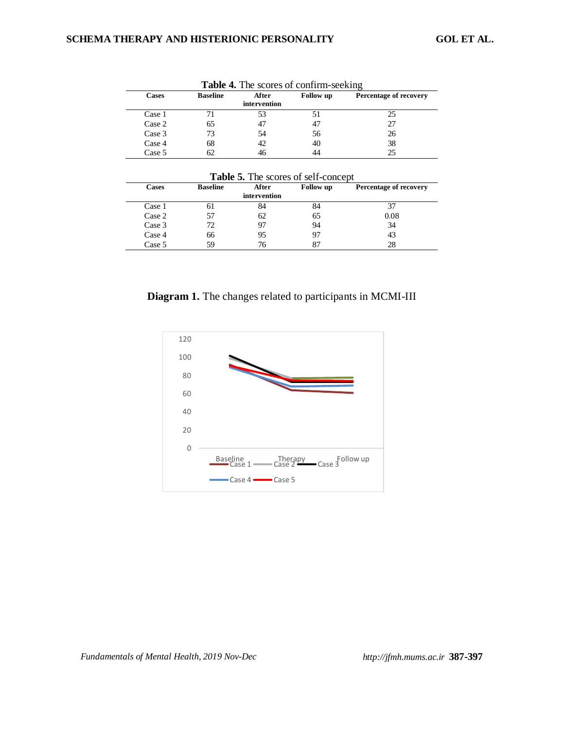| <b>Cases</b> | <b>Baseline</b> | After<br>intervention | <b>Follow</b> up | Percentage of recovery |
|--------------|-----------------|-----------------------|------------------|------------------------|
| Case 1       |                 | 53                    |                  | 25                     |
| Case 2       | 65              | 47                    | 47               | 27                     |
| Case 3       | 73              | 54                    | 56               | 26                     |
| Case 4       | 68              | 42                    | 40               | 38                     |
| Case 5       | 62              |                       | 44               | 25                     |

| Table 4. The scores of confirm-seeking |  |
|----------------------------------------|--|
|----------------------------------------|--|

**Table 5.** The scores of self-concept

| Cases  | <b>Baseline</b> | After        | Follow up | Percentage of recovery |
|--------|-----------------|--------------|-----------|------------------------|
|        |                 | intervention |           |                        |
| Case 1 | 01              | 84           | 84        |                        |
| Case 2 | 57              | 62           | 65        | 0.08                   |
| Case 3 | 72              | 97           | 94        | 34                     |
| Case 4 | 66              | 95           |           | 43                     |
| Case 5 | 59              | 76           |           | 28                     |

**Diagram 1.** The changes related to participants in MCMI-III

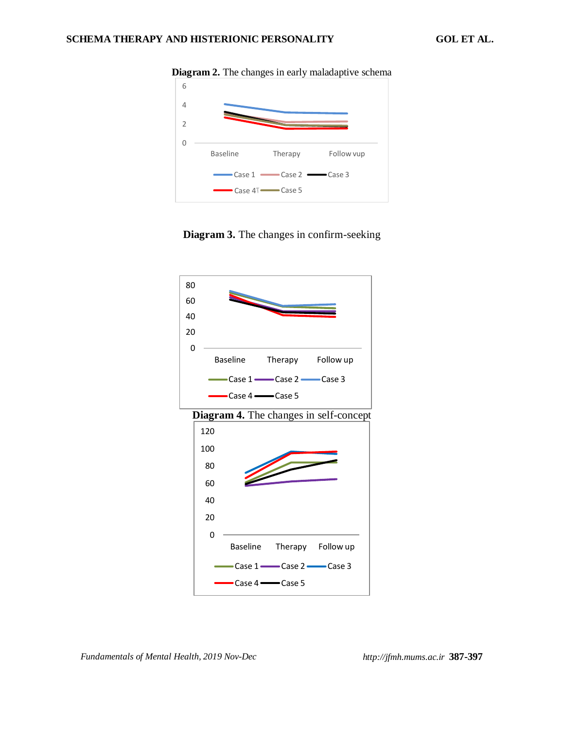

**Diagram 2.** The changes in early maladaptive schema





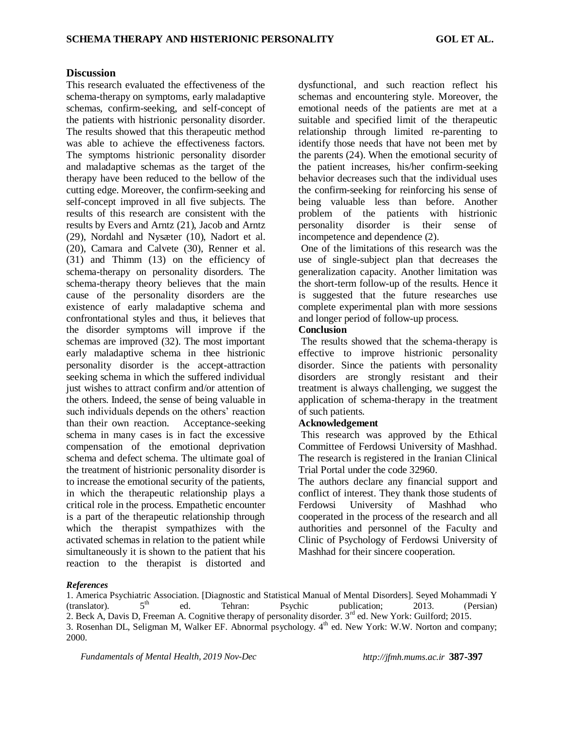#### **Discussion**

This research evaluated the effectiveness of the schema-therapy on symptoms, early maladaptive schemas, confirm-seeking, and self-concept of the patients with histrionic personality disorder. The results showed that this therapeutic method was able to achieve the effectiveness factors. The symptoms histrionic personality disorder and maladaptive schemas as the target of the therapy have been reduced to the bellow of the cutting edge. Moreover, the confirm-seeking and self-concept improved in all five subjects. The results of this research are consistent with the results by Evers and Arntz (21), Jacob and Arntz (29), Nordahl and Nysæter (10), Nadort et al. (20), Camara and Calvete (30), Renner et al. (31) and Thimm (13) on the efficiency of schema-therapy on personality disorders. The schema-therapy theory believes that the main cause of the personality disorders are the existence of early maladaptive schema and confrontational styles and thus, it believes that the disorder symptoms will improve if the schemas are improved (32). The most important early maladaptive schema in thee histrionic personality disorder is the accept-attraction seeking schema in which the suffered individual just wishes to attract confirm and/or attention of the others. Indeed, the sense of being valuable in such individuals depends on the others' reaction than their own reaction. Acceptance-seeking schema in many cases is in fact the excessive compensation of the emotional deprivation schema and defect schema. The ultimate goal of the treatment of histrionic personality disorder is to increase the emotional security of the patients, in which the therapeutic relationship plays a critical role in the process. Empathetic encounter is a part of the therapeutic relationship through which the therapist sympathizes with the activated schemas in relation to the patient while simultaneously it is shown to the patient that his reaction to the therapist is distorted and

dysfunctional, and such reaction reflect his schemas and encountering style. Moreover, the emotional needs of the patients are met at a suitable and specified limit of the therapeutic relationship through limited re-parenting to identify those needs that have not been met by the parents (24). When the emotional security of the patient increases, his/her confirm-seeking behavior decreases such that the individual uses the confirm-seeking for reinforcing his sense of being valuable less than before. Another problem of the patients with histrionic personality disorder is their sense of incompetence and dependence (2).

One of the limitations of this research was the use of single-subject plan that decreases the generalization capacity. Another limitation was the short-term follow-up of the results. Hence it is suggested that the future researches use complete experimental plan with more sessions and longer period of follow-up process.

#### **Conclusion**

The results showed that the schema-therapy is effective to improve histrionic personality disorder. Since the patients with personality disorders are strongly resistant and their treatment is always challenging, we suggest the application of schema-therapy in the treatment of such patients.

#### **Acknowledgement**

This research was approved by the Ethical Committee of Ferdowsi University of Mashhad. The research is registered in the Iranian Clinical Trial Portal under the code 32960.

The authors declare any financial support and conflict of interest. They thank those students of Ferdowsi University of Mashhad who cooperated in the process of the research and all authorities and personnel of the Faculty and Clinic of Psychology of Ferdowsi University of Mashhad for their sincere cooperation.

#### *References*

<sup>1.</sup> America Psychiatric Association. [Diagnostic and Statistical Manual of Mental Disorders]. Seyed Mohammadi Y (translator).  $5<sup>th</sup>$  ed. Tehran: Psychic publication; 2013. (Persian) 2. Beck A, Davis D, Freeman A. Cognitive therapy of personality disorder. 3<sup>rd</sup> ed. New York: Guilford; 2015. 3. Rosenhan DL, Seligman M, Walker EF. Abnormal psychology. 4<sup>th</sup> ed. New York: W.W. Norton and company; 2000.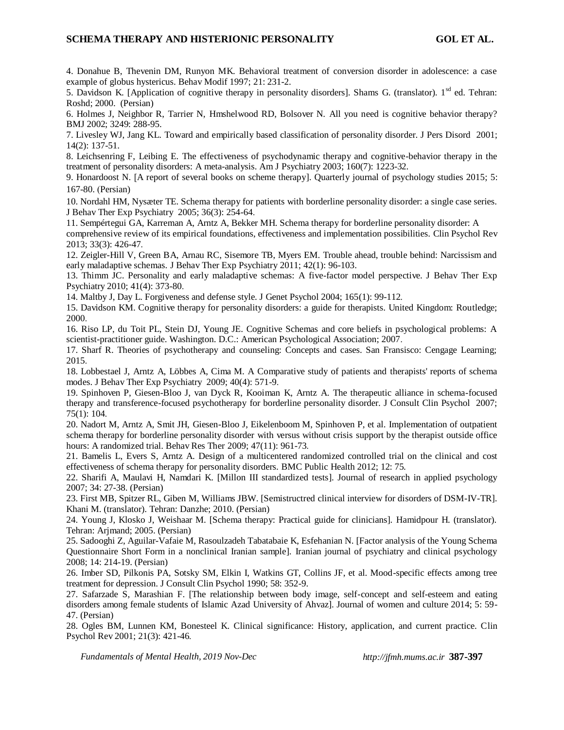#### **SCHEMA THERAPY AND HISTERIONIC PERSONALITY GOL ET AL.**

4. Donahue B, Thevenin DM, Runyon MK. Behavioral treatment of conversion disorder in adolescence: a case example of globus hystericus. Behav Modif 1997; 21: 231-2.

5. Davidson K. [Application of cognitive therapy in personality disorders]. Shams G. (translator). 1<sup>sd</sup> ed. Tehran: Roshd; 2000. (Persian)

6. Holmes J, Neighbor R, Tarrier N, Hmshelwood RD, Bolsover N. All you need is cognitive behavior therapy? BMJ 2002; 3249: 288-95.

7. Livesley WJ, Jang KL. Toward and empirically based classification of personality disorder. J Pers Disord 2001; 14(2): 137-51.

8. Leichsenring F, Leibing E. The effectiveness of psychodynamic therapy and cognitive-behavior therapy in the treatment of personality disorders: A meta-analysis. Am J Psychiatry 2003; 160(7): 1223-32.

9. Honardoost N. [A report of several books on scheme therapy]. Quarterly journal of psychology studies 2015; 5: 167-80. (Persian)

10. Nordahl HM, Nysæter TE. Schema therapy for patients with borderline personality disorder: a single case series. J Behav Ther Exp Psychiatry 2005; 36(3): 254-64.

11. Sempértegui GA, Karreman A, Arntz A, Bekker MH. Schema therapy for borderline personality disorder: A comprehensive review of its empirical foundations, effectiveness and implementation possibilities. Clin Psychol Rev 2013; 33(3): 426-47.

12. Zeigler-Hill V, Green BA, Arnau RC, Sisemore TB, Myers EM. Trouble ahead, trouble behind: Narcissism and early maladaptive schemas. J Behav Ther Exp Psychiatry 2011; 42(1): 96-103.

13. Thimm JC. Personality and early maladaptive schemas: A five-factor model perspective. J Behav Ther Exp Psychiatry 2010; 41(4): 373-80.

14. Maltby J, Day L. Forgiveness and defense style. J Genet Psychol 2004; 165(1): 99-112.

15. Davidson KM. Cognitive therapy for personality disorders: a guide for therapists. United Kingdom: Routledge; 2000.

16. Riso LP, du Toit PL, Stein DJ, Young JE. Cognitive Schemas and core beliefs in psychological problems: A scientist-practitioner guide. Washington. D.C.: American Psychological Association; 2007.

17. Sharf R. Theories of psychotherapy and counseling: Concepts and cases. San Fransisco: Cengage Learning; 2015.

18. Lobbestael J, Arntz A, Löbbes A, Cima M. A Comparative study of patients and therapists' reports of schema modes. J Behav Ther Exp Psychiatry 2009; 40(4): 571-9.

19. Spinhoven P, Giesen-Bloo J, van Dyck R, Kooiman K, Arntz A. The therapeutic alliance in schema-focused therapy and transference-focused psychotherapy for borderline personality disorder. J Consult Clin Psychol 2007; 75(1): 104.

20. Nadort M, Arntz A, Smit JH, Giesen-Bloo J, Eikelenboom M, Spinhoven P, et al. Implementation of outpatient schema therapy for borderline personality disorder with versus without crisis support by the therapist outside office hours: A randomized trial. Behav Res Ther 2009; 47(11): 961-73.

21. Bamelis L, Evers S, Arntz A. Design of a multicentered randomized controlled trial on the clinical and cost effectiveness of schema therapy for personality disorders. BMC Public Health 2012; 12: 75.

22. Sharifi A, Maulavi H, Namdari K. [Millon III standardized tests]. Journal of research in applied psychology 2007; 34: 27-38. (Persian)

23. First MB, Spitzer RL, Giben M, Williams JBW. [Semistructred clinical interview for disorders of DSM-IV-TR]. Khani M. (translator). Tehran: Danzhe; 2010. (Persian)

24. Young J, Klosko J, Weishaar M. [Schema therapy: Practical guide for clinicians]. Hamidpour H. (translator). Tehran: Arjmand; 2005. (Persian)

25. Sadooghi Z, Aguilar-Vafaie M, Rasoulzadeh Tabatabaie K, Esfehanian N. [Factor analysis of the Young Schema Questionnaire Short Form in a nonclinical Iranian sample]. Iranian journal of psychiatry and clinical psychology 2008; 14: 214-19. (Persian)

26. Imber SD, Pilkonis PA, Sotsky SM, Elkin I, Watkins GT, Collins JF, et al. Mood-specific effects among tree treatment for depression. J Consult Clin Psychol 1990; 58: 352-9.

27. Safarzade S, Marashian F. [The relationship between body image, self-concept and self-esteem and eating disorders among female students of Islamic Azad University of Ahvaz]. Journal of women and culture 2014; 5: 59- 47. (Persian)

28. Ogles BM, Lunnen KM, Bonesteel K. Clinical significance: History, application, and current practice. Clin Psychol Rev 2001; 21(3): 421-46.